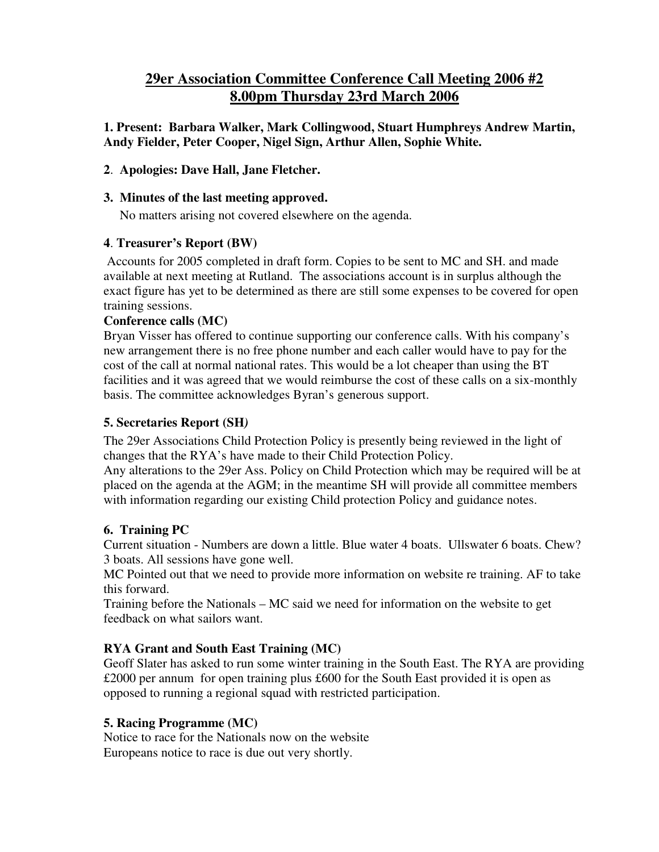# **29er Association Committee Conference Call Meeting 2006 #2 8.00pm Thursday 23rd March 2006**

**1. Present: Barbara Walker, Mark Collingwood, Stuart Humphreys Andrew Martin, Andy Fielder, Peter Cooper, Nigel Sign, Arthur Allen, Sophie White.**

## **2**. **Apologies: Dave Hall, Jane Fletcher.**

#### **3. Minutes of the last meeting approved.**

No matters arising not covered elsewhere on the agenda.

## **4**. **Treasurer's Report (BW)**

Accounts for 2005 completed in draft form. Copies to be sent to MC and SH. and made available at next meeting at Rutland. The associations account is in surplus although the exact figure has yet to be determined as there are still some expenses to be covered for open training sessions.

#### **Conference calls (MC)**

Bryan Visser has offered to continue supporting our conference calls. With his company's new arrangement there is no free phone number and each caller would have to pay for the cost of the call at normal national rates. This would be a lot cheaper than using the BT facilities and it was agreed that we would reimburse the cost of these calls on a six-monthly basis. The committee acknowledges Byran's generous support.

## **5. Secretaries Report (SH***)*

The 29er Associations Child Protection Policy is presently being reviewed in the light of changes that the RYA's have made to their Child Protection Policy.

Any alterations to the 29er Ass. Policy on Child Protection which may be required will be at placed on the agenda at the AGM; in the meantime SH will provide all committee members with information regarding our existing Child protection Policy and guidance notes.

## **6. Training PC**

Current situation - Numbers are down a little. Blue water 4 boats. Ullswater 6 boats. Chew? 3 boats. All sessions have gone well.

MC Pointed out that we need to provide more information on website re training. AF to take this forward.

Training before the Nationals – MC said we need for information on the website to get feedback on what sailors want.

## **RYA Grant and South East Training (MC)**

Geoff Slater has asked to run some winter training in the South East. The RYA are providing £2000 per annum for open training plus £600 for the South East provided it is open as opposed to running a regional squad with restricted participation.

## **5. Racing Programme (MC)**

Notice to race for the Nationals now on the website Europeans notice to race is due out very shortly.